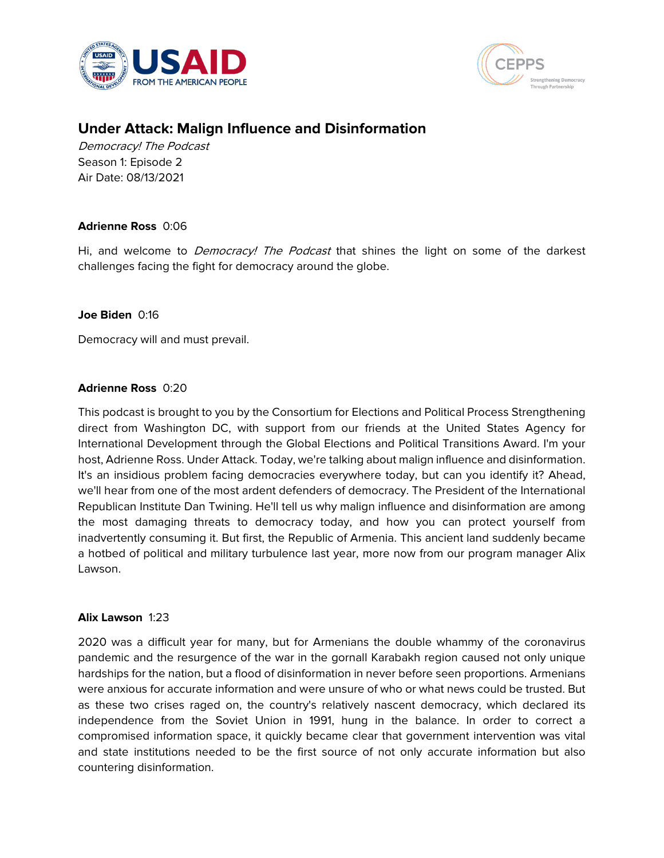



# **Under Attack: Malign Influence and Disinformation**

Democracy! The Podcast Season 1: Episode 2 Air Date: 08/13/2021

# **Adrienne Ross** 0:06

Hi, and welcome to *Democracy! The Podcast* that shines the light on some of the darkest challenges facing the fight for democracy around the globe.

# **Joe Biden** 0:16

Democracy will and must prevail.

# **Adrienne Ross** 0:20

This podcast is brought to you by the Consortium for Elections and Political Process Strengthening direct from Washington DC, with support from our friends at the United States Agency for International Development through the Global Elections and Political Transitions Award. I'm your host, Adrienne Ross. Under Attack. Today, we're talking about malign influence and disinformation. It's an insidious problem facing democracies everywhere today, but can you identify it? Ahead, we'll hear from one of the most ardent defenders of democracy. The President of the International Republican Institute Dan Twining. He'll tell us why malign influence and disinformation are among the most damaging threats to democracy today, and how you can protect yourself from inadvertently consuming it. But first, the Republic of Armenia. This ancient land suddenly became a hotbed of political and military turbulence last year, more now from our program manager Alix Lawson.

### **Alix Lawson** 1:23

2020 was a difficult year for many, but for Armenians the double whammy of the coronavirus pandemic and the resurgence of the war in the gornall Karabakh region caused not only unique hardships for the nation, but a flood of disinformation in never before seen proportions. Armenians were anxious for accurate information and were unsure of who or what news could be trusted. But as these two crises raged on, the country's relatively nascent democracy, which declared its independence from the Soviet Union in 1991, hung in the balance. In order to correct a compromised information space, it quickly became clear that government intervention was vital and state institutions needed to be the first source of not only accurate information but also countering disinformation.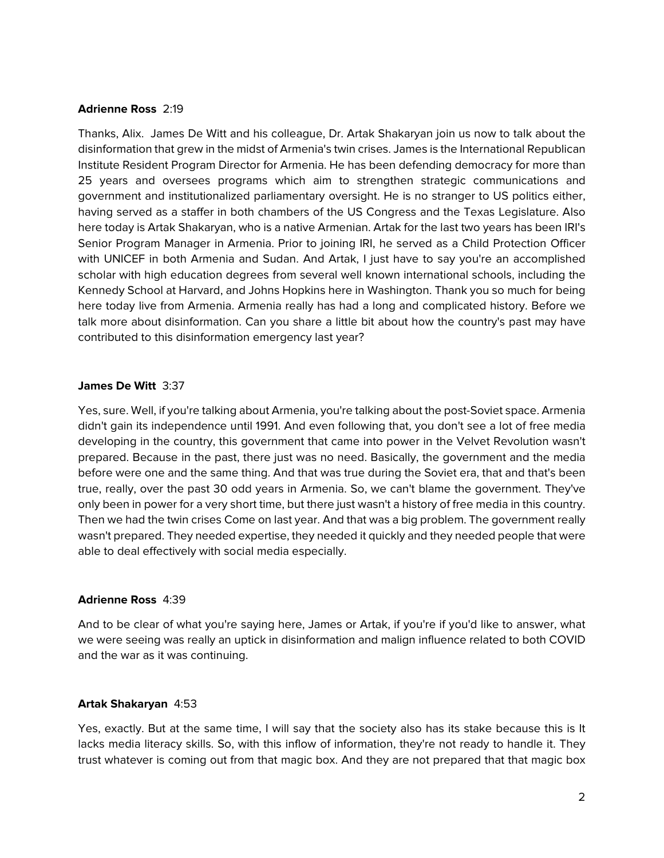### **Adrienne Ross** 2:19

Thanks, Alix. James De Witt and his colleague, Dr. Artak Shakaryan join us now to talk about the disinformation that grew in the midst of Armenia's twin crises. James is the International Republican Institute Resident Program Director for Armenia. He has been defending democracy for more than 25 years and oversees programs which aim to strengthen strategic communications and government and institutionalized parliamentary oversight. He is no stranger to US politics either, having served as a staffer in both chambers of the US Congress and the Texas Legislature. Also here today is Artak Shakaryan, who is a native Armenian. Artak for the last two years has been IRI's Senior Program Manager in Armenia. Prior to joining IRI, he served as a Child Protection Officer with UNICEF in both Armenia and Sudan. And Artak, I just have to say you're an accomplished scholar with high education degrees from several well known international schools, including the Kennedy School at Harvard, and Johns Hopkins here in Washington. Thank you so much for being here today live from Armenia. Armenia really has had a long and complicated history. Before we talk more about disinformation. Can you share a little bit about how the country's past may have contributed to this disinformation emergency last year?

#### **James De Witt** 3:37

Yes, sure. Well, if you're talking about Armenia, you're talking about the post-Soviet space. Armenia didn't gain its independence until 1991. And even following that, you don't see a lot of free media developing in the country, this government that came into power in the Velvet Revolution wasn't prepared. Because in the past, there just was no need. Basically, the government and the media before were one and the same thing. And that was true during the Soviet era, that and that's been true, really, over the past 30 odd years in Armenia. So, we can't blame the government. They've only been in power for a very short time, but there just wasn't a history of free media in this country. Then we had the twin crises Come on last year. And that was a big problem. The government really wasn't prepared. They needed expertise, they needed it quickly and they needed people that were able to deal effectively with social media especially.

### **Adrienne Ross** 4:39

And to be clear of what you're saying here, James or Artak, if you're if you'd like to answer, what we were seeing was really an uptick in disinformation and malign influence related to both COVID and the war as it was continuing.

### **Artak Shakaryan** 4:53

Yes, exactly. But at the same time, I will say that the society also has its stake because this is It lacks media literacy skills. So, with this inflow of information, they're not ready to handle it. They trust whatever is coming out from that magic box. And they are not prepared that that magic box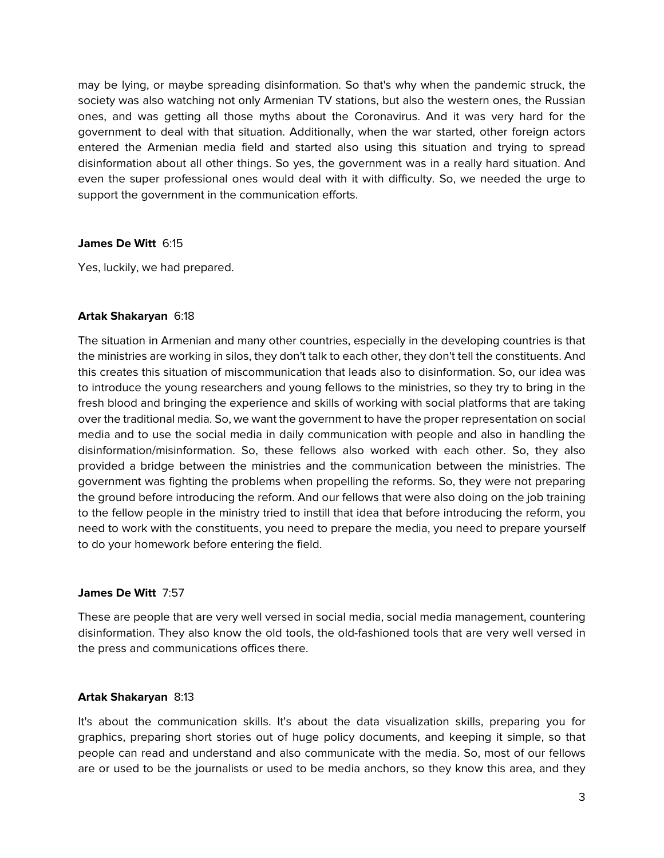may be lying, or maybe spreading disinformation. So that's why when the pandemic struck, the society was also watching not only Armenian TV stations, but also the western ones, the Russian ones, and was getting all those myths about the Coronavirus. And it was very hard for the government to deal with that situation. Additionally, when the war started, other foreign actors entered the Armenian media field and started also using this situation and trying to spread disinformation about all other things. So yes, the government was in a really hard situation. And even the super professional ones would deal with it with difficulty. So, we needed the urge to support the government in the communication efforts.

### **James De Witt** 6:15

Yes, luckily, we had prepared.

# **Artak Shakaryan** 6:18

The situation in Armenian and many other countries, especially in the developing countries is that the ministries are working in silos, they don't talk to each other, they don't tell the constituents. And this creates this situation of miscommunication that leads also to disinformation. So, our idea was to introduce the young researchers and young fellows to the ministries, so they try to bring in the fresh blood and bringing the experience and skills of working with social platforms that are taking over the traditional media. So, we want the government to have the proper representation on social media and to use the social media in daily communication with people and also in handling the disinformation/misinformation. So, these fellows also worked with each other. So, they also provided a bridge between the ministries and the communication between the ministries. The government was fighting the problems when propelling the reforms. So, they were not preparing the ground before introducing the reform. And our fellows that were also doing on the job training to the fellow people in the ministry tried to instill that idea that before introducing the reform, you need to work with the constituents, you need to prepare the media, you need to prepare yourself to do your homework before entering the field.

### **James De Witt** 7:57

These are people that are very well versed in social media, social media management, countering disinformation. They also know the old tools, the old-fashioned tools that are very well versed in the press and communications offices there.

### **Artak Shakaryan** 8:13

It's about the communication skills. It's about the data visualization skills, preparing you for graphics, preparing short stories out of huge policy documents, and keeping it simple, so that people can read and understand and also communicate with the media. So, most of our fellows are or used to be the journalists or used to be media anchors, so they know this area, and they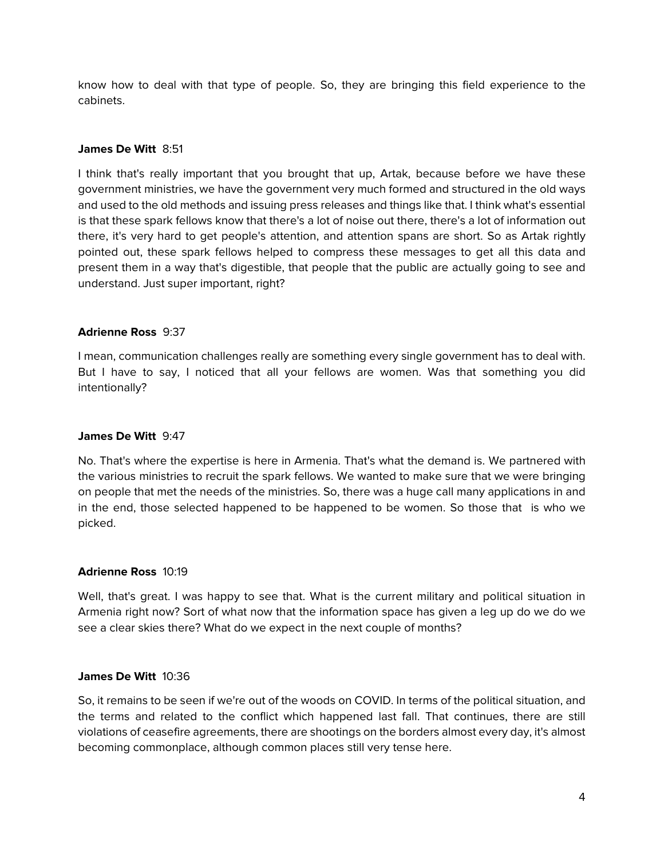know how to deal with that type of people. So, they are bringing this field experience to the cabinets.

### **James De Witt** 8:51

I think that's really important that you brought that up, Artak, because before we have these government ministries, we have the government very much formed and structured in the old ways and used to the old methods and issuing press releases and things like that. I think what's essential is that these spark fellows know that there's a lot of noise out there, there's a lot of information out there, it's very hard to get people's attention, and attention spans are short. So as Artak rightly pointed out, these spark fellows helped to compress these messages to get all this data and present them in a way that's digestible, that people that the public are actually going to see and understand. Just super important, right?

### **Adrienne Ross** 9:37

I mean, communication challenges really are something every single government has to deal with. But I have to say, I noticed that all your fellows are women. Was that something you did intentionally?

### **James De Witt** 9:47

No. That's where the expertise is here in Armenia. That's what the demand is. We partnered with the various ministries to recruit the spark fellows. We wanted to make sure that we were bringing on people that met the needs of the ministries. So, there was a huge call many applications in and in the end, those selected happened to be happened to be women. So those that is who we picked.

### **Adrienne Ross** 10:19

Well, that's great. I was happy to see that. What is the current military and political situation in Armenia right now? Sort of what now that the information space has given a leg up do we do we see a clear skies there? What do we expect in the next couple of months?

### **James De Witt** 10:36

So, it remains to be seen if we're out of the woods on COVID. In terms of the political situation, and the terms and related to the conflict which happened last fall. That continues, there are still violations of ceasefire agreements, there are shootings on the borders almost every day, it's almost becoming commonplace, although common places still very tense here.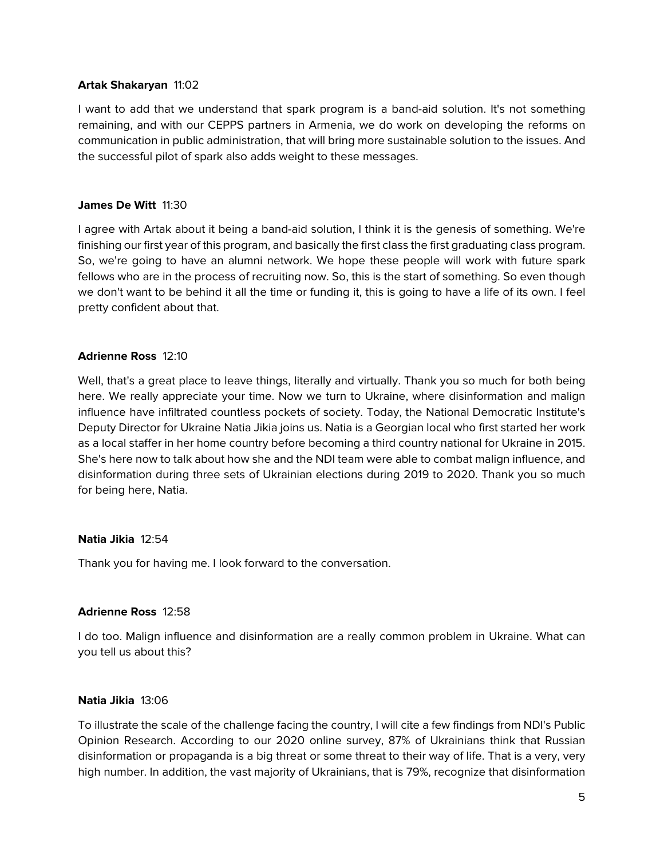### **Artak Shakaryan** 11:02

I want to add that we understand that spark program is a band-aid solution. It's not something remaining, and with our CEPPS partners in Armenia, we do work on developing the reforms on communication in public administration, that will bring more sustainable solution to the issues. And the successful pilot of spark also adds weight to these messages.

# **James De Witt** 11:30

I agree with Artak about it being a band-aid solution, I think it is the genesis of something. We're finishing our first year of this program, and basically the first class the first graduating class program. So, we're going to have an alumni network. We hope these people will work with future spark fellows who are in the process of recruiting now. So, this is the start of something. So even though we don't want to be behind it all the time or funding it, this is going to have a life of its own. I feel pretty confident about that.

# **Adrienne Ross** 12:10

Well, that's a great place to leave things, literally and virtually. Thank you so much for both being here. We really appreciate your time. Now we turn to Ukraine, where disinformation and malign influence have infiltrated countless pockets of society. Today, the National Democratic Institute's Deputy Director for Ukraine Natia Jikia joins us. Natia is a Georgian local who first started her work as a local staffer in her home country before becoming a third country national for Ukraine in 2015. She's here now to talk about how she and the NDI team were able to combat malign influence, and disinformation during three sets of Ukrainian elections during 2019 to 2020. Thank you so much for being here, Natia.

### **Natia Jikia** 12:54

Thank you for having me. I look forward to the conversation.

### **Adrienne Ross** 12:58

I do too. Malign influence and disinformation are a really common problem in Ukraine. What can you tell us about this?

### **Natia Jikia** 13:06

To illustrate the scale of the challenge facing the country, I will cite a few findings from NDI's Public Opinion Research. According to our 2020 online survey, 87% of Ukrainians think that Russian disinformation or propaganda is a big threat or some threat to their way of life. That is a very, very high number. In addition, the vast majority of Ukrainians, that is 79%, recognize that disinformation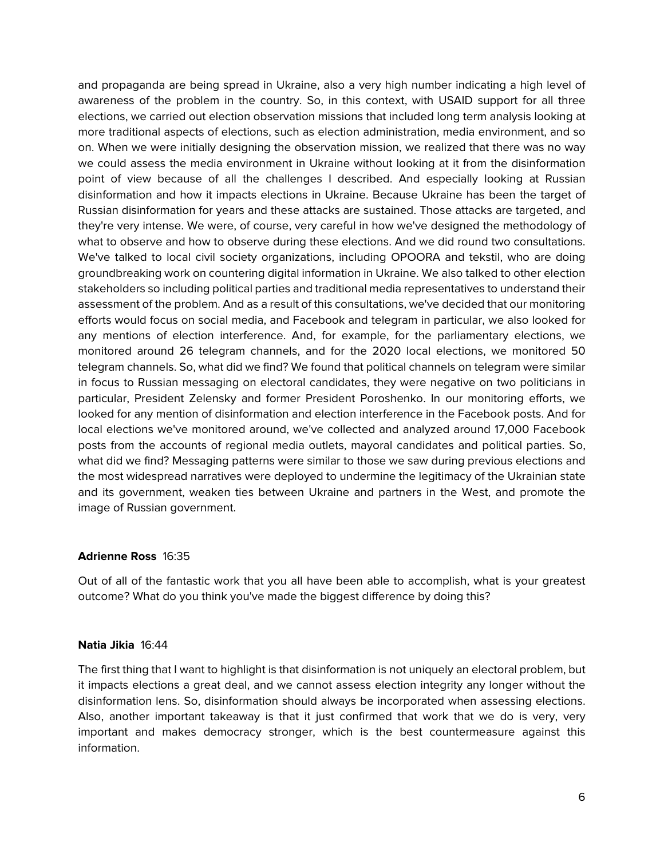and propaganda are being spread in Ukraine, also a very high number indicating a high level of awareness of the problem in the country. So, in this context, with USAID support for all three elections, we carried out election observation missions that included long term analysis looking at more traditional aspects of elections, such as election administration, media environment, and so on. When we were initially designing the observation mission, we realized that there was no way we could assess the media environment in Ukraine without looking at it from the disinformation point of view because of all the challenges I described. And especially looking at Russian disinformation and how it impacts elections in Ukraine. Because Ukraine has been the target of Russian disinformation for years and these attacks are sustained. Those attacks are targeted, and they're very intense. We were, of course, very careful in how we've designed the methodology of what to observe and how to observe during these elections. And we did round two consultations. We've talked to local civil society organizations, including OPOORA and tekstil, who are doing groundbreaking work on countering digital information in Ukraine. We also talked to other election stakeholders so including political parties and traditional media representatives to understand their assessment of the problem. And as a result of this consultations, we've decided that our monitoring efforts would focus on social media, and Facebook and telegram in particular, we also looked for any mentions of election interference. And, for example, for the parliamentary elections, we monitored around 26 telegram channels, and for the 2020 local elections, we monitored 50 telegram channels. So, what did we find? We found that political channels on telegram were similar in focus to Russian messaging on electoral candidates, they were negative on two politicians in particular, President Zelensky and former President Poroshenko. In our monitoring efforts, we looked for any mention of disinformation and election interference in the Facebook posts. And for local elections we've monitored around, we've collected and analyzed around 17,000 Facebook posts from the accounts of regional media outlets, mayoral candidates and political parties. So, what did we find? Messaging patterns were similar to those we saw during previous elections and the most widespread narratives were deployed to undermine the legitimacy of the Ukrainian state and its government, weaken ties between Ukraine and partners in the West, and promote the image of Russian government.

### **Adrienne Ross** 16:35

Out of all of the fantastic work that you all have been able to accomplish, what is your greatest outcome? What do you think you've made the biggest difference by doing this?

#### **Natia Jikia** 16:44

The first thing that I want to highlight is that disinformation is not uniquely an electoral problem, but it impacts elections a great deal, and we cannot assess election integrity any longer without the disinformation lens. So, disinformation should always be incorporated when assessing elections. Also, another important takeaway is that it just confirmed that work that we do is very, very important and makes democracy stronger, which is the best countermeasure against this information.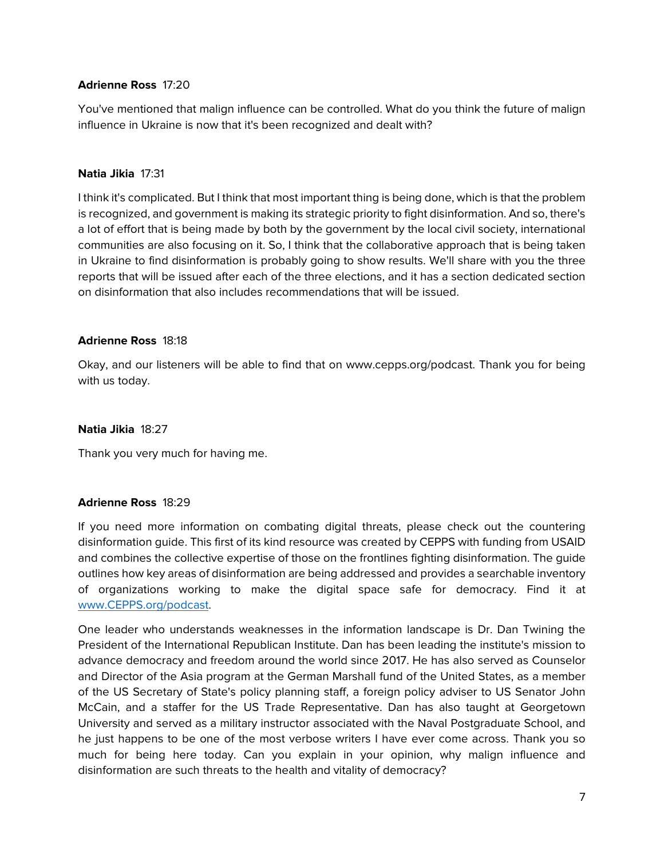# **Adrienne Ross** 17:20

You've mentioned that malign influence can be controlled. What do you think the future of malign influence in Ukraine is now that it's been recognized and dealt with?

## **Natia Jikia** 17:31

I think it's complicated. But I think that most important thing is being done, which is that the problem is recognized, and government is making its strategic priority to fight disinformation. And so, there's a lot of effort that is being made by both by the government by the local civil society, international communities are also focusing on it. So, I think that the collaborative approach that is being taken in Ukraine to find disinformation is probably going to show results. We'll share with you the three reports that will be issued after each of the three elections, and it has a section dedicated section on disinformation that also includes recommendations that will be issued.

# **Adrienne Ross** 18:18

Okay, and our listeners will be able to find that on www.cepps.org/podcast. Thank you for being with us today.

### **Natia Jikia** 18:27

Thank you very much for having me.

### **Adrienne Ross** 18:29

If you need more information on combating digital threats, please check out the countering disinformation guide. This first of its kind resource was created by CEPPS with funding from USAID and combines the collective expertise of those on the frontlines fighting disinformation. The guide outlines how key areas of disinformation are being addressed and provides a searchable inventory of organizations working to make the digital space safe for democracy. Find it at [www.CEPPS.org/podcast.](http://www.cepps.org/podcast) 

One leader who understands weaknesses in the information landscape is Dr. Dan Twining the President of the International Republican Institute. Dan has been leading the institute's mission to advance democracy and freedom around the world since 2017. He has also served as Counselor and Director of the Asia program at the German Marshall fund of the United States, as a member of the US Secretary of State's policy planning staff, a foreign policy adviser to US Senator John McCain, and a staffer for the US Trade Representative. Dan has also taught at Georgetown University and served as a military instructor associated with the Naval Postgraduate School, and he just happens to be one of the most verbose writers I have ever come across. Thank you so much for being here today. Can you explain in your opinion, why malign influence and disinformation are such threats to the health and vitality of democracy?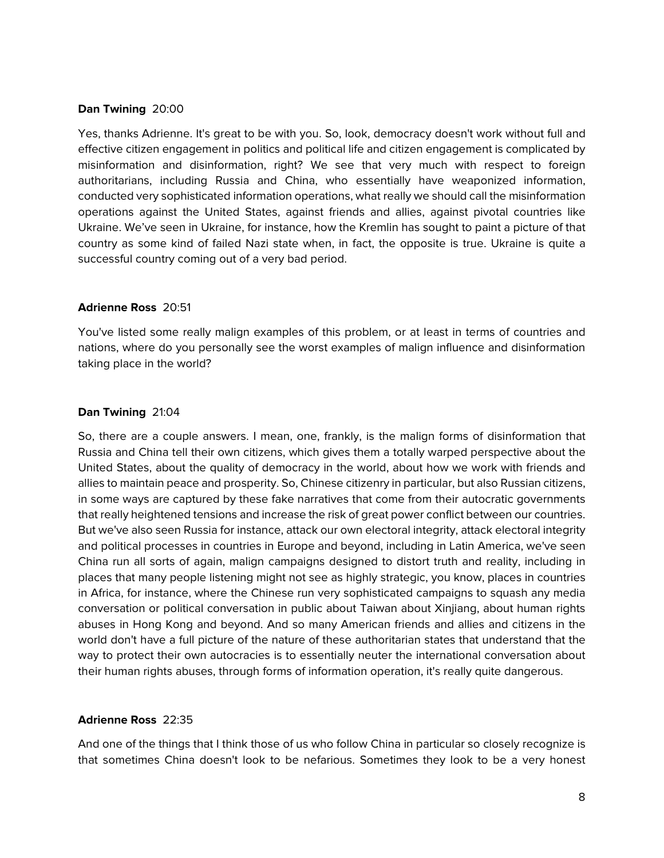#### **Dan Twining** 20:00

Yes, thanks Adrienne. It's great to be with you. So, look, democracy doesn't work without full and effective citizen engagement in politics and political life and citizen engagement is complicated by misinformation and disinformation, right? We see that very much with respect to foreign authoritarians, including Russia and China, who essentially have weaponized information, conducted very sophisticated information operations, what really we should call the misinformation operations against the United States, against friends and allies, against pivotal countries like Ukraine. We've seen in Ukraine, for instance, how the Kremlin has sought to paint a picture of that country as some kind of failed Nazi state when, in fact, the opposite is true. Ukraine is quite a successful country coming out of a very bad period.

### **Adrienne Ross** 20:51

You've listed some really malign examples of this problem, or at least in terms of countries and nations, where do you personally see the worst examples of malign influence and disinformation taking place in the world?

#### **Dan Twining** 21:04

So, there are a couple answers. I mean, one, frankly, is the malign forms of disinformation that Russia and China tell their own citizens, which gives them a totally warped perspective about the United States, about the quality of democracy in the world, about how we work with friends and allies to maintain peace and prosperity. So, Chinese citizenry in particular, but also Russian citizens, in some ways are captured by these fake narratives that come from their autocratic governments that really heightened tensions and increase the risk of great power conflict between our countries. But we've also seen Russia for instance, attack our own electoral integrity, attack electoral integrity and political processes in countries in Europe and beyond, including in Latin America, we've seen China run all sorts of again, malign campaigns designed to distort truth and reality, including in places that many people listening might not see as highly strategic, you know, places in countries in Africa, for instance, where the Chinese run very sophisticated campaigns to squash any media conversation or political conversation in public about Taiwan about Xinjiang, about human rights abuses in Hong Kong and beyond. And so many American friends and allies and citizens in the world don't have a full picture of the nature of these authoritarian states that understand that the way to protect their own autocracies is to essentially neuter the international conversation about their human rights abuses, through forms of information operation, it's really quite dangerous.

#### **Adrienne Ross** 22:35

And one of the things that I think those of us who follow China in particular so closely recognize is that sometimes China doesn't look to be nefarious. Sometimes they look to be a very honest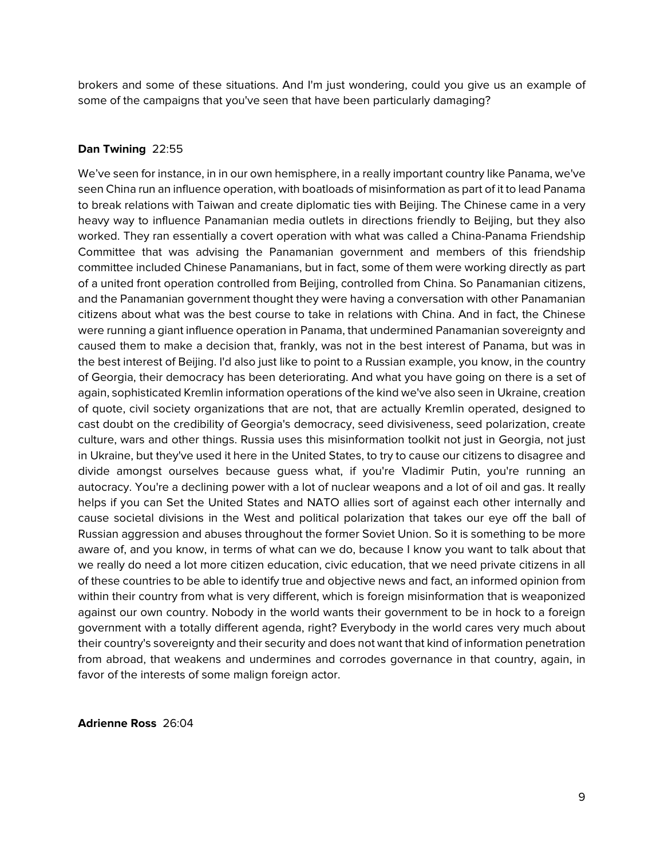brokers and some of these situations. And I'm just wondering, could you give us an example of some of the campaigns that you've seen that have been particularly damaging?

### **Dan Twining** 22:55

We've seen for instance, in in our own hemisphere, in a really important country like Panama, we've seen China run an influence operation, with boatloads of misinformation as part of it to lead Panama to break relations with Taiwan and create diplomatic ties with Beijing. The Chinese came in a very heavy way to influence Panamanian media outlets in directions friendly to Beijing, but they also worked. They ran essentially a covert operation with what was called a China-Panama Friendship Committee that was advising the Panamanian government and members of this friendship committee included Chinese Panamanians, but in fact, some of them were working directly as part of a united front operation controlled from Beijing, controlled from China. So Panamanian citizens, and the Panamanian government thought they were having a conversation with other Panamanian citizens about what was the best course to take in relations with China. And in fact, the Chinese were running a giant influence operation in Panama, that undermined Panamanian sovereignty and caused them to make a decision that, frankly, was not in the best interest of Panama, but was in the best interest of Beijing. I'd also just like to point to a Russian example, you know, in the country of Georgia, their democracy has been deteriorating. And what you have going on there is a set of again, sophisticated Kremlin information operations of the kind we've also seen in Ukraine, creation of quote, civil society organizations that are not, that are actually Kremlin operated, designed to cast doubt on the credibility of Georgia's democracy, seed divisiveness, seed polarization, create culture, wars and other things. Russia uses this misinformation toolkit not just in Georgia, not just in Ukraine, but they've used it here in the United States, to try to cause our citizens to disagree and divide amongst ourselves because guess what, if you're Vladimir Putin, you're running an autocracy. You're a declining power with a lot of nuclear weapons and a lot of oil and gas. It really helps if you can Set the United States and NATO allies sort of against each other internally and cause societal divisions in the West and political polarization that takes our eye off the ball of Russian aggression and abuses throughout the former Soviet Union. So it is something to be more aware of, and you know, in terms of what can we do, because I know you want to talk about that we really do need a lot more citizen education, civic education, that we need private citizens in all of these countries to be able to identify true and objective news and fact, an informed opinion from within their country from what is very different, which is foreign misinformation that is weaponized against our own country. Nobody in the world wants their government to be in hock to a foreign government with a totally different agenda, right? Everybody in the world cares very much about their country's sovereignty and their security and does not want that kind of information penetration from abroad, that weakens and undermines and corrodes governance in that country, again, in favor of the interests of some malign foreign actor.

**Adrienne Ross** 26:04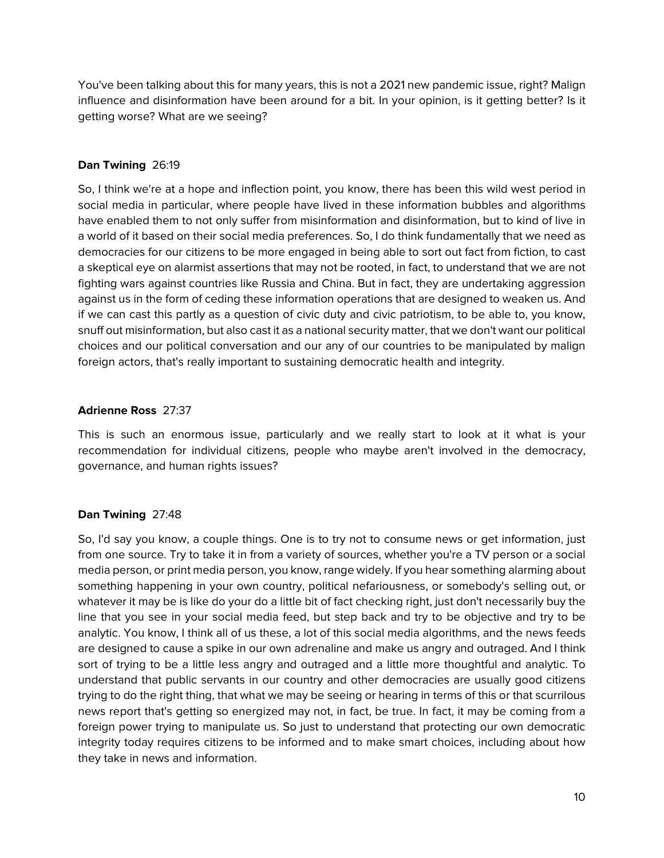You've been talking about this for many years, this is not a 2021 new pandemic issue, right? Malign influence and disinformation have been around for a bit. In your opinion, is it getting better? Is it getting worse? What are we seeing?

# **Dan Twining** 26:19

So, I think we're at a hope and inflection point, you know, there has been this wild west period in social media in particular, where people have lived in these information bubbles and algorithms have enabled them to not only suffer from misinformation and disinformation, but to kind of live in a world of it based on their social media preferences. So, I do think fundamentally that we need as democracies for our citizens to be more engaged in being able to sort out fact from fiction, to cast a skeptical eye on alarmist assertions that may not be rooted, in fact, to understand that we are not fighting wars against countries like Russia and China. But in fact, they are undertaking aggression against us in the form of ceding these information operations that are designed to weaken us. And if we can cast this partly as a question of civic duty and civic patriotism, to be able to, you know, snuff out misinformation, but also cast it as a national security matter, that we don't want our political choices and our political conversation and our any of our countries to be manipulated by malign foreign actors, that's really important to sustaining democratic health and integrity.

# **Adrienne Ross** 27:37

This is such an enormous issue, particularly and we really start to look at it what is your recommendation for individual citizens, people who maybe aren't involved in the democracy, governance, and human rights issues?

# **Dan Twining** 27:48

So, I'd say you know, a couple things. One is to try not to consume news or get information, just from one source. Try to take it in from a variety of sources, whether you're a TV person or a social media person, or print media person, you know, range widely. If you hear something alarming about something happening in your own country, political nefariousness, or somebody's selling out, or whatever it may be is like do your do a little bit of fact checking right, just don't necessarily buy the line that you see in your social media feed, but step back and try to be objective and try to be analytic. You know, I think all of us these, a lot of this social media algorithms, and the news feeds are designed to cause a spike in our own adrenaline and make us angry and outraged. And I think sort of trying to be a little less angry and outraged and a little more thoughtful and analytic. To understand that public servants in our country and other democracies are usually good citizens trying to do the right thing, that what we may be seeing or hearing in terms of this or that scurrilous news report that's getting so energized may not, in fact, be true. In fact, it may be coming from a foreign power trying to manipulate us. So just to understand that protecting our own democratic integrity today requires citizens to be informed and to make smart choices, including about how they take in news and information.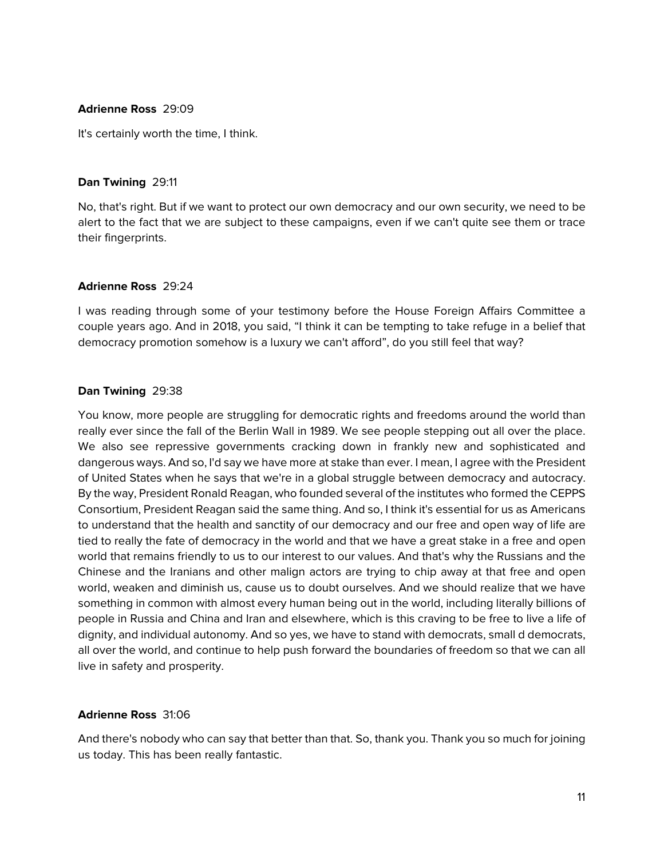### **Adrienne Ross** 29:09

It's certainly worth the time, I think.

### **Dan Twining** 29:11

No, that's right. But if we want to protect our own democracy and our own security, we need to be alert to the fact that we are subject to these campaigns, even if we can't quite see them or trace their fingerprints.

#### **Adrienne Ross** 29:24

I was reading through some of your testimony before the House Foreign Affairs Committee a couple years ago. And in 2018, you said, "I think it can be tempting to take refuge in a belief that democracy promotion somehow is a luxury we can't afford", do you still feel that way?

### **Dan Twining** 29:38

You know, more people are struggling for democratic rights and freedoms around the world than really ever since the fall of the Berlin Wall in 1989. We see people stepping out all over the place. We also see repressive governments cracking down in frankly new and sophisticated and dangerous ways. And so, I'd say we have more at stake than ever. I mean, I agree with the President of United States when he says that we're in a global struggle between democracy and autocracy. By the way, President Ronald Reagan, who founded several of the institutes who formed the CEPPS Consortium, President Reagan said the same thing. And so, I think it's essential for us as Americans to understand that the health and sanctity of our democracy and our free and open way of life are tied to really the fate of democracy in the world and that we have a great stake in a free and open world that remains friendly to us to our interest to our values. And that's why the Russians and the Chinese and the Iranians and other malign actors are trying to chip away at that free and open world, weaken and diminish us, cause us to doubt ourselves. And we should realize that we have something in common with almost every human being out in the world, including literally billions of people in Russia and China and Iran and elsewhere, which is this craving to be free to live a life of dignity, and individual autonomy. And so yes, we have to stand with democrats, small d democrats, all over the world, and continue to help push forward the boundaries of freedom so that we can all live in safety and prosperity.

### **Adrienne Ross** 31:06

And there's nobody who can say that better than that. So, thank you. Thank you so much for joining us today. This has been really fantastic.